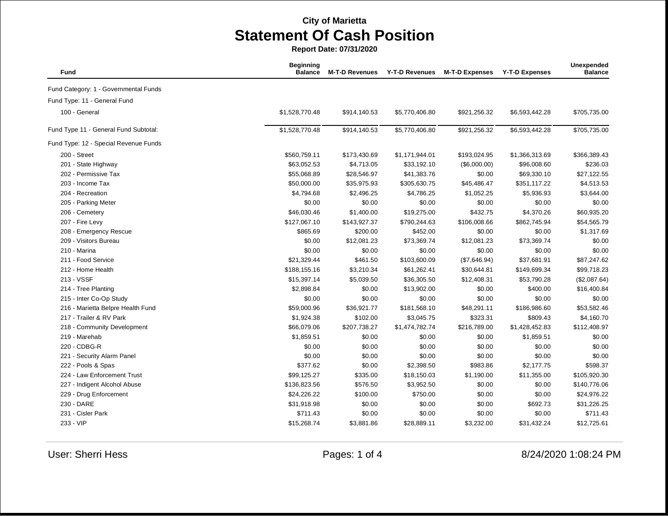**Report Date: 07/31/2020**

| <b>Fund</b>                           | <b>Beginning</b><br><b>Balance</b> | <b>M-T-D Revenues</b> | <b>Y-T-D Revenues</b> | <b>M-T-D Expenses</b> | <b>Y-T-D Expenses</b> | Unexpended<br><b>Balance</b> |
|---------------------------------------|------------------------------------|-----------------------|-----------------------|-----------------------|-----------------------|------------------------------|
| Fund Category: 1 - Governmental Funds |                                    |                       |                       |                       |                       |                              |
| Fund Type: 11 - General Fund          |                                    |                       |                       |                       |                       |                              |
| 100 - General                         | \$1,528,770.48                     | \$914,140.53          | \$5,770,406.80        | \$921,256.32          | \$6,593,442.28        | \$705,735.00                 |
| Fund Type 11 - General Fund Subtotal: | \$1,528,770.48                     | \$914,140.53          | \$5,770,406.80        | \$921,256.32          | \$6,593,442.28        | \$705,735.00                 |
| Fund Type: 12 - Special Revenue Funds |                                    |                       |                       |                       |                       |                              |
| 200 - Street                          | \$560,759.11                       | \$173,430.69          | \$1,171,944.01        | \$193,024.95          | \$1,366,313.69        | \$366,389.43                 |
| 201 - State Highway                   | \$63,052.53                        | \$4,713.05            | \$33,192.10           | (\$6,000.00)          | \$96,008.60           | \$236.03                     |
| 202 - Permissive Tax                  | \$55,068.89                        | \$28,546.97           | \$41,383.76           | \$0.00                | \$69,330.10           | \$27,122.55                  |
| 203 - Income Tax                      | \$50,000.00                        | \$35,975.93           | \$305,630.75          | \$45,486.47           | \$351,117.22          | \$4,513.53                   |
| 204 - Recreation                      | \$4,794.68                         | \$2,496.25            | \$4,786.25            | \$1,052.25            | \$5,936.93            | \$3,644.00                   |
| 205 - Parking Meter                   | \$0.00                             | \$0.00                | \$0.00                | \$0.00                | \$0.00                | \$0.00                       |
| 206 - Cemetery                        | \$46,030.46                        | \$1,400.00            | \$19,275.00           | \$432.75              | \$4,370.26            | \$60,935.20                  |
| 207 - Fire Levy                       | \$127,067.10                       | \$143,927.37          | \$790,244.63          | \$106,008.66          | \$862,745.94          | \$54,565.79                  |
| 208 - Emergency Rescue                | \$865.69                           | \$200.00              | \$452.00              | \$0.00                | \$0.00                | \$1,317.69                   |
| 209 - Visitors Bureau                 | \$0.00                             | \$12,081.23           | \$73,369.74           | \$12,081.23           | \$73,369.74           | \$0.00                       |
| 210 - Marina                          | \$0.00                             | \$0.00                | \$0.00                | \$0.00                | \$0.00                | \$0.00                       |
| 211 - Food Service                    | \$21,329.44                        | \$461.50              | \$103,600.09          | (\$7,646.94)          | \$37,681.91           | \$87,247.62                  |
| 212 - Home Health                     | \$188,155.16                       | \$3,210.34            | \$61,262.41           | \$30,644.81           | \$149,699.34          | \$99,718.23                  |
| 213 - VSSF                            | \$15,397.14                        | \$5,039.50            | \$36,305.50           | \$12,408.31           | \$53,790.28           | (\$2,087.64)                 |
| 214 - Tree Planting                   | \$2,898.84                         | \$0.00                | \$13,902.00           | \$0.00                | \$400.00              | \$16,400.84                  |
| 215 - Inter Co-Op Study               | \$0.00                             | \$0.00                | \$0.00                | \$0.00                | \$0.00                | \$0.00                       |
| 216 - Marietta Belpre Health Fund     | \$59,000.96                        | \$36,921.77           | \$181,568.10          | \$48,291.11           | \$186,986.60          | \$53,582.46                  |
| 217 - Trailer & RV Park               | \$1,924.38                         | \$102.00              | \$3,045.75            | \$323.31              | \$809.43              | \$4,160.70                   |
| 218 - Community Development           | \$66,079.06                        | \$207,738.27          | \$1,474,782.74        | \$216,789.00          | \$1,428,452.83        | \$112,408.97                 |
| 219 - Marehab                         | \$1,859.51                         | \$0.00                | \$0.00                | \$0.00                | \$1,859.51            | \$0.00                       |
| 220 - CDBG-R                          | \$0.00                             | \$0.00                | \$0.00                | \$0.00                | \$0.00                | \$0.00                       |
| 221 - Security Alarm Panel            | \$0.00                             | \$0.00                | \$0.00                | \$0.00                | \$0.00                | \$0.00                       |
| 222 - Pools & Spas                    | \$377.62                           | \$0.00                | \$2,398.50            | \$983.86              | \$2,177.75            | \$598.37                     |
| 224 - Law Enforcement Trust           | \$99,125.27                        | \$335.00              | \$18,150.03           | \$1,190.00            | \$11,355.00           | \$105,920.30                 |
| 227 - Indigent Alcohol Abuse          | \$136,823.56                       | \$576.50              | \$3,952.50            | \$0.00                | \$0.00                | \$140,776.06                 |
| 229 - Drug Enforcement                | \$24,226.22                        | \$100.00              | \$750.00              | \$0.00                | \$0.00                | \$24,976.22                  |
| 230 - DARE                            | \$31,918.98                        | \$0.00                | \$0.00                | \$0.00                | \$692.73              | \$31,226.25                  |
| 231 - Cisler Park                     | \$711.43                           | \$0.00                | \$0.00                | \$0.00                | \$0.00                | \$711.43                     |
| 233 - VIP                             | \$15,268.74                        | \$3,881.86            | \$28,889.11           | \$3,232.00            | \$31,432.24           | \$12,725.61                  |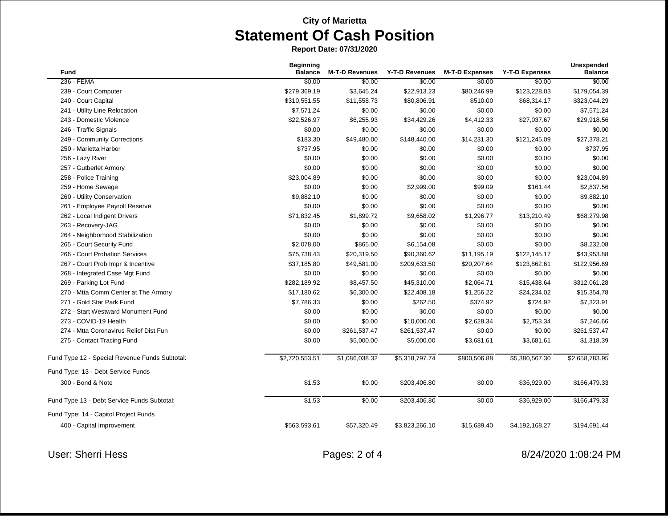**Report Date: 07/31/2020**

| <b>Fund</b>                                    | <b>Beginning</b><br><b>Balance</b> | <b>M-T-D Revenues</b> | <b>Y-T-D Revenues</b> | <b>M-T-D Expenses</b> | <b>Y-T-D Expenses</b> | Unexpended<br><b>Balance</b> |
|------------------------------------------------|------------------------------------|-----------------------|-----------------------|-----------------------|-----------------------|------------------------------|
| 236 - FEMA                                     | \$0.00                             | \$0.00                | \$0.00                | \$0.00                | \$0.00                | \$0.00                       |
| 239 - Court Computer                           | \$279,369.19                       | \$3,645.24            | \$22,913.23           | \$80,246.99           | \$123,228.03          | \$179,054.39                 |
| 240 - Court Capital                            | \$310,551.55                       | \$11,558.73           | \$80,806.91           | \$510.00              | \$68,314.17           | \$323,044.29                 |
| 241 - Utility Line Relocation                  | \$7,571.24                         | \$0.00                | \$0.00                | \$0.00                | \$0.00                | \$7,571.24                   |
| 243 - Domestic Violence                        | \$22,526.97                        | \$6,255.93            | \$34,429.26           | \$4,412.33            | \$27,037.67           | \$29,918.56                  |
| 246 - Traffic Signals                          | \$0.00                             | \$0.00                | \$0.00                | \$0.00                | \$0.00                | \$0.00                       |
| 249 - Community Corrections                    | \$183.30                           | \$49,480.00           | \$148,440.00          | \$14,231.30           | \$121,245.09          | \$27,378.21                  |
| 250 - Marietta Harbor                          | \$737.95                           | \$0.00                | \$0.00                | \$0.00                | \$0.00                | \$737.95                     |
| 256 - Lazy River                               | \$0.00                             | \$0.00                | \$0.00                | \$0.00                | \$0.00                | \$0.00                       |
| 257 - Gutberlet Armory                         | \$0.00                             | \$0.00                | \$0.00                | \$0.00                | \$0.00                | \$0.00                       |
| 258 - Police Training                          | \$23,004.89                        | \$0.00                | \$0.00                | \$0.00                | \$0.00                | \$23,004.89                  |
| 259 - Home Sewage                              | \$0.00                             | \$0.00                | \$2,999.00            | \$99.09               | \$161.44              | \$2,837.56                   |
| 260 - Utility Conservation                     | \$9,882.10                         | \$0.00                | \$0.00                | \$0.00                | \$0.00                | \$9,882.10                   |
| 261 - Employee Payroll Reserve                 | \$0.00                             | \$0.00                | \$0.00                | \$0.00                | \$0.00                | \$0.00                       |
| 262 - Local Indigent Drivers                   | \$71,832.45                        | \$1,899.72            | \$9,658.02            | \$1,296.77            | \$13,210.49           | \$68,279.98                  |
| 263 - Recovery-JAG                             | \$0.00                             | \$0.00                | \$0.00                | \$0.00                | \$0.00                | \$0.00                       |
| 264 - Neighborhood Stabilization               | \$0.00                             | \$0.00                | \$0.00                | \$0.00                | \$0.00                | \$0.00                       |
| 265 - Court Security Fund                      | \$2,078.00                         | \$865.00              | \$6,154.08            | \$0.00                | \$0.00                | \$8,232.08                   |
| 266 - Court Probation Services                 | \$75,738.43                        | \$20,319.50           | \$90,360.62           | \$11,195.19           | \$122,145.17          | \$43,953.88                  |
| 267 - Court Prob Impr & Incentive              | \$37,185.80                        | \$49,581.00           | \$209,633.50          | \$20,207.64           | \$123,862.61          | \$122,956.69                 |
| 268 - Integrated Case Mgt Fund                 | \$0.00                             | \$0.00                | \$0.00                | \$0.00                | \$0.00                | \$0.00                       |
| 269 - Parking Lot Fund                         | \$282,189.92                       | \$8,457.50            | \$45,310.00           | \$2,064.71            | \$15,438.64           | \$312,061.28                 |
| 270 - Mtta Comm Center at The Armory           | \$17,180.62                        | \$6,300.00            | \$22,408.18           | \$1,256.22            | \$24,234.02           | \$15,354.78                  |
| 271 - Gold Star Park Fund                      | \$7,786.33                         | \$0.00                | \$262.50              | \$374.92              | \$724.92              | \$7,323.91                   |
| 272 - Start Westward Monument Fund             | \$0.00                             | \$0.00                | \$0.00                | \$0.00                | \$0.00                | \$0.00                       |
| 273 - COVID-19 Health                          | \$0.00                             | \$0.00                | \$10,000.00           | \$2,628.34            | \$2,753.34            | \$7,246.66                   |
| 274 - Mtta Coronavirus Relief Dist Fun         | \$0.00                             | \$261,537.47          | \$261,537.47          | \$0.00                | \$0.00                | \$261,537.47                 |
| 275 - Contact Tracing Fund                     | \$0.00                             | \$5,000.00            | \$5,000.00            | \$3,681.61            | \$3,681.61            | \$1,318.39                   |
| Fund Type 12 - Special Revenue Funds Subtotal: | \$2,720,553.51                     | \$1,086,038.32        | \$5,318,797.74        | \$800,506.88          | \$5,380,567.30        | \$2,658,783.95               |
| Fund Type: 13 - Debt Service Funds             |                                    |                       |                       |                       |                       |                              |
| 300 - Bond & Note                              | \$1.53                             | \$0.00                | \$203,406.80          | \$0.00                | \$36,929.00           | \$166,479.33                 |
| Fund Type 13 - Debt Service Funds Subtotal:    | \$1.53                             | \$0.00                | \$203,406.80          | \$0.00                | \$36,929.00           | \$166,479.33                 |
| Fund Type: 14 - Capitol Project Funds          |                                    |                       |                       |                       |                       |                              |
| 400 - Capital Improvement                      | \$563,593.61                       | \$57,320.49           | \$3,823,266.10        | \$15,689.40           | \$4,192,168.27        | \$194,691.44                 |
|                                                |                                    |                       |                       |                       |                       |                              |

User: Sherri Hess 2 of 4 8/24/2020 1:08:24 PM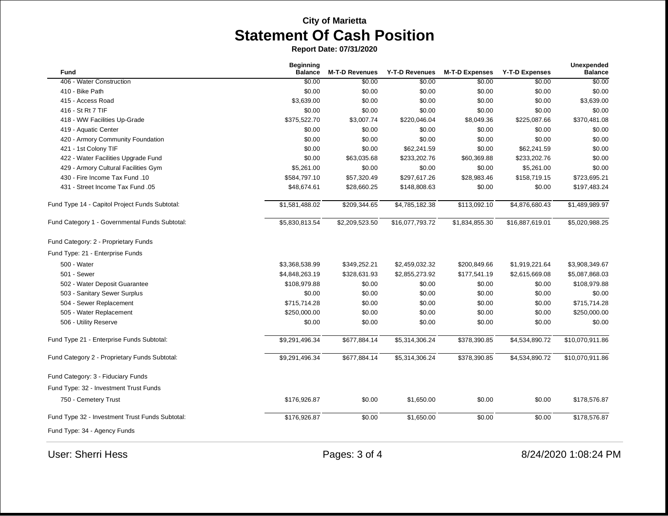**Report Date: 07/31/2020**

|                                                 | <b>Beginning</b> |                       |                 |                       |                       | <b>Unexpended</b> |
|-------------------------------------------------|------------------|-----------------------|-----------------|-----------------------|-----------------------|-------------------|
| Fund                                            | <b>Balance</b>   | <b>M-T-D Revenues</b> | Y-T-D Revenues  | <b>M-T-D Expenses</b> | <b>Y-T-D Expenses</b> | <b>Balance</b>    |
| 406 - Water Construction                        | \$0.00           | \$0.00                | \$0.00          | \$0.00                | \$0.00                | \$0.00            |
| 410 - Bike Path                                 | \$0.00           | \$0.00                | \$0.00          | \$0.00                | \$0.00                | \$0.00            |
| 415 - Access Road                               | \$3,639.00       | \$0.00                | \$0.00          | \$0.00                | \$0.00                | \$3,639.00        |
| 416 - St Rt 7 TIF                               | \$0.00           | \$0.00                | \$0.00          | \$0.00                | \$0.00                | \$0.00            |
| 418 - WW Facilities Up-Grade                    | \$375,522.70     | \$3,007.74            | \$220,046.04    | \$8,049.36            | \$225,087.66          | \$370,481.08      |
| 419 - Aquatic Center                            | \$0.00           | \$0.00                | \$0.00          | \$0.00                | \$0.00                | \$0.00            |
| 420 - Armory Community Foundation               | \$0.00           | \$0.00                | \$0.00          | \$0.00                | \$0.00                | \$0.00            |
| 421 - 1st Colony TIF                            | \$0.00           | \$0.00                | \$62,241.59     | \$0.00                | \$62,241.59           | \$0.00            |
| 422 - Water Facilities Upgrade Fund             | \$0.00           | \$63,035.68           | \$233,202.76    | \$60,369.88           | \$233,202.76          | \$0.00            |
| 429 - Armory Cultural Facilities Gym            | \$5,261.00       | \$0.00                | \$0.00          | \$0.00                | \$5,261.00            | \$0.00            |
| 430 - Fire Income Tax Fund .10                  | \$584,797.10     | \$57,320.49           | \$297,617.26    | \$28,983.46           | \$158,719.15          | \$723,695.21      |
| 431 - Street Income Tax Fund .05                | \$48,674.61      | \$28,660.25           | \$148,808.63    | \$0.00                | \$0.00                | \$197,483.24      |
| Fund Type 14 - Capitol Project Funds Subtotal:  | \$1,581,488.02   | \$209,344.65          | \$4,785,182.38  | \$113,092.10          | \$4,876,680.43        | \$1,489,989.97    |
| Fund Category 1 - Governmental Funds Subtotal:  | \$5,830,813.54   | \$2,209,523.50        | \$16,077,793.72 | \$1,834,855.30        | \$16,887,619.01       | \$5,020,988.25    |
| Fund Category: 2 - Proprietary Funds            |                  |                       |                 |                       |                       |                   |
| Fund Type: 21 - Enterprise Funds                |                  |                       |                 |                       |                       |                   |
| 500 - Water                                     | \$3,368,538.99   | \$349,252.21          | \$2,459,032.32  | \$200,849.66          | \$1,919,221.64        | \$3,908,349.67    |
| 501 - Sewer                                     | \$4,848,263.19   | \$328,631.93          | \$2,855,273.92  | \$177,541.19          | \$2,615,669.08        | \$5,087,868.03    |
| 502 - Water Deposit Guarantee                   | \$108,979.88     | \$0.00                | \$0.00          | \$0.00                | \$0.00                | \$108,979.88      |
| 503 - Sanitary Sewer Surplus                    | \$0.00           | \$0.00                | \$0.00          | \$0.00                | \$0.00                | \$0.00            |
| 504 - Sewer Replacement                         | \$715,714.28     | \$0.00                | \$0.00          | \$0.00                | \$0.00                | \$715,714.28      |
| 505 - Water Replacement                         | \$250,000.00     | \$0.00                | \$0.00          | \$0.00                | \$0.00                | \$250,000.00      |
| 506 - Utility Reserve                           | \$0.00           | \$0.00                | \$0.00          | \$0.00                | \$0.00                | \$0.00            |
| Fund Type 21 - Enterprise Funds Subtotal:       | \$9,291,496.34   | \$677,884.14          | \$5,314,306.24  | \$378,390.85          | \$4,534,890.72        | \$10,070,911.86   |
| Fund Category 2 - Proprietary Funds Subtotal:   | \$9,291,496.34   | \$677,884.14          | \$5,314,306.24  | \$378,390.85          | \$4,534,890.72        | \$10,070,911.86   |
| Fund Category: 3 - Fiduciary Funds              |                  |                       |                 |                       |                       |                   |
| Fund Type: 32 - Investment Trust Funds          |                  |                       |                 |                       |                       |                   |
| 750 - Cemetery Trust                            | \$176,926.87     | \$0.00                | \$1,650.00      | \$0.00                | \$0.00                | \$178,576.87      |
|                                                 |                  |                       |                 |                       |                       |                   |
| Fund Type 32 - Investment Trust Funds Subtotal: | \$176,926.87     | \$0.00                | \$1,650.00      | \$0.00                | \$0.00                | \$178,576.87      |
| Fund Type: 34 - Agency Funds                    |                  |                       |                 |                       |                       |                   |
|                                                 |                  |                       |                 |                       |                       |                   |